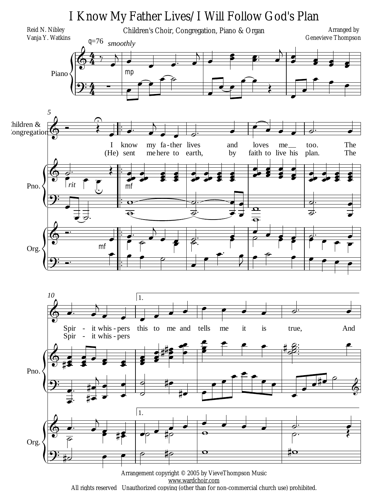

All rights reserved Unauthorized copying (other than for non-commercial church use) prohibited.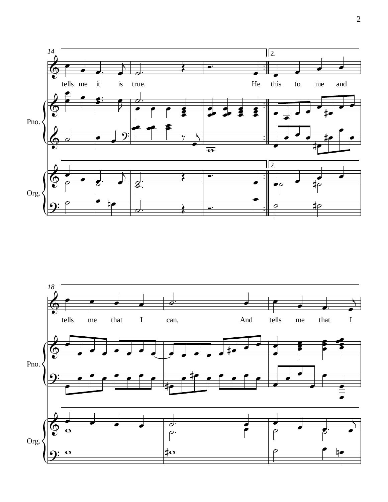

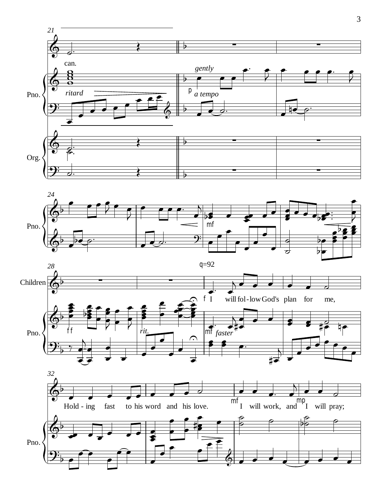